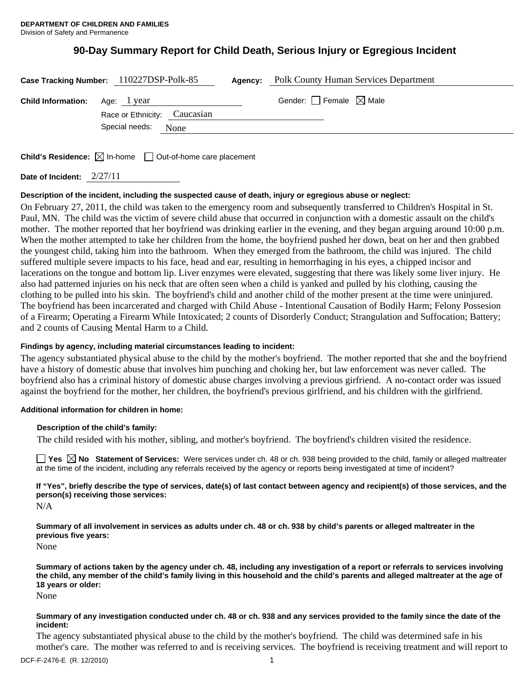# **90-Day Summary Report for Child Death, Serious Injury or Egregious Incident**

|                                       | Case Tracking Number: 110227DSP-Polk-85 | Agency: | <b>Polk County Human Services Department</b> |  |
|---------------------------------------|-----------------------------------------|---------|----------------------------------------------|--|
| <b>Child Information:</b> Age: 1 year |                                         |         | Gender: $\Box$ Female $\boxtimes$ Male       |  |
|                                       | Race or Ethnicity: Caucasian            |         |                                              |  |
|                                       | Special needs:<br>None                  |         |                                              |  |
|                                       |                                         |         |                                              |  |

**Child's Residence:**  $\boxtimes$  In-home  $\Box$  Out-of-home care placement

**Date of Incident:** 2/27/11

# **Description of the incident, including the suspected cause of death, injury or egregious abuse or neglect:**

On February 27, 2011, the child was taken to the emergency room and subsequently transferred to Children's Hospital in St. Paul, MN. The child was the victim of severe child abuse that occurred in conjunction with a domestic assault on the child's mother. The mother reported that her boyfriend was drinking earlier in the evening, and they began arguing around 10:00 p.m. When the mother attempted to take her children from the home, the boyfriend pushed her down, beat on her and then grabbed the youngest child, taking him into the bathroom. When they emerged from the bathroom, the child was injured. The child suffered multiple severe impacts to his face, head and ear, resulting in hemorrhaging in his eyes, a chipped incisor and lacerations on the tongue and bottom lip. Liver enzymes were elevated, suggesting that there was likely some liver injury. He also had patterned injuries on his neck that are often seen when a child is yanked and pulled by his clothing, causing the clothing to be pulled into his skin. The boyfriend's child and another child of the mother present at the time were uninjured. The boyfriend has been incarcerated and charged with Child Abuse - Intentional Causation of Bodily Harm; Felony Possesion of a Firearm; Operating a Firearm While Intoxicated; 2 counts of Disorderly Conduct; Strangulation and Suffocation; Battery; and 2 counts of Causing Mental Harm to a Child.

# **Findings by agency, including material circumstances leading to incident:**

The agency substantiated physical abuse to the child by the mother's boyfriend. The mother reported that she and the boyfriend have a history of domestic abuse that involves him punching and choking her, but law enforcement was never called. The boyfriend also has a criminal history of domestic abuse charges involving a previous girfriend. A no-contact order was issued against the boyfriend for the mother, her children, the boyfriend's previous girlfriend, and his children with the girlfriend.

## **Additional information for children in home:**

## **Description of the child's family:**

The child resided with his mother, sibling, and mother's boyfriend. The boyfriend's children visited the residence.

**Yes No Statement of Services:** Were services under ch. 48 or ch. 938 being provided to the child, family or alleged maltreater at the time of the incident, including any referrals received by the agency or reports being investigated at time of incident?

**If "Yes", briefly describe the type of services, date(s) of last contact between agency and recipient(s) of those services, and the person(s) receiving those services:** 

N/A

**Summary of all involvement in services as adults under ch. 48 or ch. 938 by child's parents or alleged maltreater in the previous five years:** 

None

**Summary of actions taken by the agency under ch. 48, including any investigation of a report or referrals to services involving the child, any member of the child's family living in this household and the child's parents and alleged maltreater at the age of 18 years or older:** 

None

#### **Summary of any investigation conducted under ch. 48 or ch. 938 and any services provided to the family since the date of the incident:**

The agency substantiated physical abuse to the child by the mother's boyfriend. The child was determined safe in his mother's care. The mother was referred to and is receiving services. The boyfriend is receiving treatment and will report to